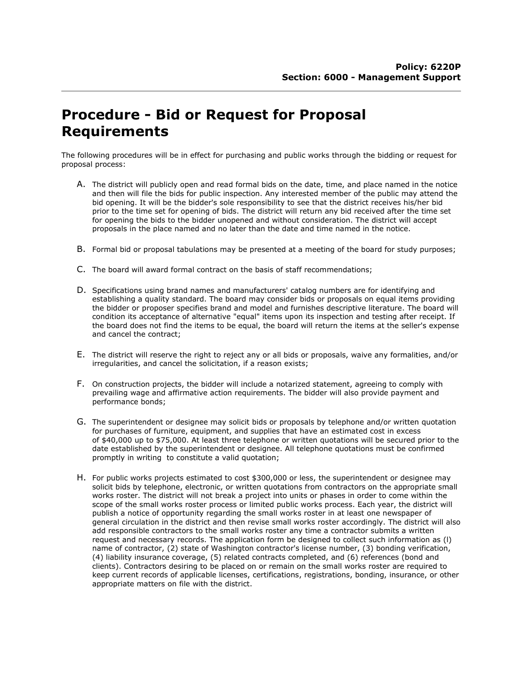## Procedure - Bid or Request for Proposal Requirements

The following procedures will be in effect for purchasing and public works through the bidding or request for proposal process:

- A. The district will publicly open and read formal bids on the date, time, and place named in the notice and then will file the bids for public inspection. Any interested member of the public may attend the bid opening. It will be the bidder's sole responsibility to see that the district receives his/her bid prior to the time set for opening of bids. The district will return any bid received after the time set for opening the bids to the bidder unopened and without consideration. The district will accept proposals in the place named and no later than the date and time named in the notice.
- B. Formal bid or proposal tabulations may be presented at a meeting of the board for study purposes;
- C. The board will award formal contract on the basis of staff recommendations;
- D. Specifications using brand names and manufacturers' catalog numbers are for identifying and establishing a quality standard. The board may consider bids or proposals on equal items providing the bidder or proposer specifies brand and model and furnishes descriptive literature. The board will condition its acceptance of alternative "equal" items upon its inspection and testing after receipt. If the board does not find the items to be equal, the board will return the items at the seller's expense and cancel the contract;
- E. The district will reserve the right to reject any or all bids or proposals, waive any formalities, and/or irregularities, and cancel the solicitation, if a reason exists;
- F. On construction projects, the bidder will include a notarized statement, agreeing to comply with prevailing wage and affirmative action requirements. The bidder will also provide payment and performance bonds;
- G. The superintendent or designee may solicit bids or proposals by telephone and/or written quotation for purchases of furniture, equipment, and supplies that have an estimated cost in excess of \$40,000 up to \$75,000. At least three telephone or written quotations will be secured prior to the date established by the superintendent or designee. All telephone quotations must be confirmed promptly in writing to constitute a valid quotation;
- H. For public works projects estimated to cost \$300,000 or less, the superintendent or designee may solicit bids by telephone, electronic, or written quotations from contractors on the appropriate small works roster. The district will not break a project into units or phases in order to come within the scope of the small works roster process or limited public works process. Each year, the district will publish a notice of opportunity regarding the small works roster in at least one newspaper of general circulation in the district and then revise small works roster accordingly. The district will also add responsible contractors to the small works roster any time a contractor submits a written request and necessary records. The application form be designed to collect such information as (l) name of contractor, (2) state of Washington contractor's license number, (3) bonding verification, (4) liability insurance coverage, (5) related contracts completed, and (6) references (bond and clients). Contractors desiring to be placed on or remain on the small works roster are required to keep current records of applicable licenses, certifications, registrations, bonding, insurance, or other appropriate matters on file with the district.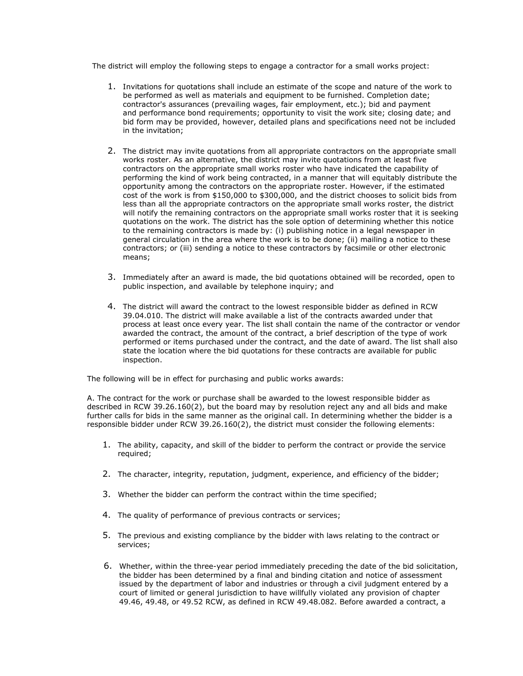The district will employ the following steps to engage a contractor for a small works project:

- 1. Invitations for quotations shall include an estimate of the scope and nature of the work to be performed as well as materials and equipment to be furnished. Completion date; contractor's assurances (prevailing wages, fair employment, etc.); bid and payment and performance bond requirements; opportunity to visit the work site; closing date; and bid form may be provided, however, detailed plans and specifications need not be included in the invitation;
- 2. The district may invite quotations from all appropriate contractors on the appropriate small works roster. As an alternative, the district may invite quotations from at least five contractors on the appropriate small works roster who have indicated the capability of performing the kind of work being contracted, in a manner that will equitably distribute the opportunity among the contractors on the appropriate roster. However, if the estimated cost of the work is from \$150,000 to \$300,000, and the district chooses to solicit bids from less than all the appropriate contractors on the appropriate small works roster, the district will notify the remaining contractors on the appropriate small works roster that it is seeking quotations on the work. The district has the sole option of determining whether this notice to the remaining contractors is made by: (i) publishing notice in a legal newspaper in general circulation in the area where the work is to be done; (ii) mailing a notice to these contractors; or (iii) sending a notice to these contractors by facsimile or other electronic means;
- 3. Immediately after an award is made, the bid quotations obtained will be recorded, open to public inspection, and available by telephone inquiry; and
- 4. The district will award the contract to the lowest responsible bidder as defined in RCW 39.04.010. The district will make available a list of the contracts awarded under that process at least once every year. The list shall contain the name of the contractor or vendor awarded the contract, the amount of the contract, a brief description of the type of work performed or items purchased under the contract, and the date of award. The list shall also state the location where the bid quotations for these contracts are available for public inspection.

The following will be in effect for purchasing and public works awards:

A. The contract for the work or purchase shall be awarded to the lowest responsible bidder as described in RCW 39.26.160(2), but the board may by resolution reject any and all bids and make further calls for bids in the same manner as the original call. In determining whether the bidder is a responsible bidder under RCW 39.26.160(2), the district must consider the following elements:

- 1. The ability, capacity, and skill of the bidder to perform the contract or provide the service required;
- 2. The character, integrity, reputation, judgment, experience, and efficiency of the bidder;
- 3. Whether the bidder can perform the contract within the time specified;
- 4. The quality of performance of previous contracts or services;
- 5. The previous and existing compliance by the bidder with laws relating to the contract or services;
- 6. Whether, within the three-year period immediately preceding the date of the bid solicitation, the bidder has been determined by a final and binding citation and notice of assessment issued by the department of labor and industries or through a civil judgment entered by a court of limited or general jurisdiction to have willfully violated any provision of chapter 49.46, 49.48, or 49.52 RCW, as defined in RCW 49.48.082. Before awarded a contract, a